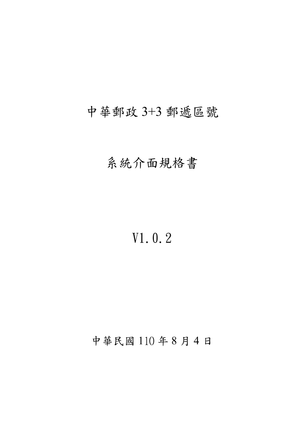## 中華郵政 3+3 郵遞區號

## 系統介面規格書

# V1.0.2

### 中華民國 110 年 8 月 4 日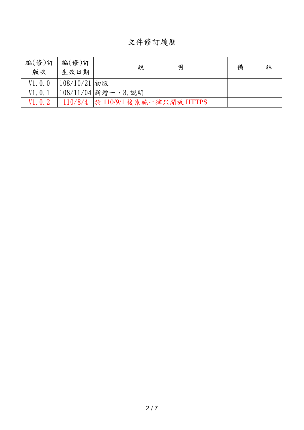文件修訂履歷

| 編(修)訂<br>版次 | 編(修)訂<br>生效日期    | 說<br>明                           | 備 | 註 |
|-------------|------------------|----------------------------------|---|---|
| V1.0.0      | $ 108/10/21 $ 初版 |                                  |   |   |
| V1.0.1      |                  | 108/11/04 新增一、3. 說明              |   |   |
| V1.0.2      |                  | 110/8/4 於 110/9/1 後系統一律只開放 HTTPS |   |   |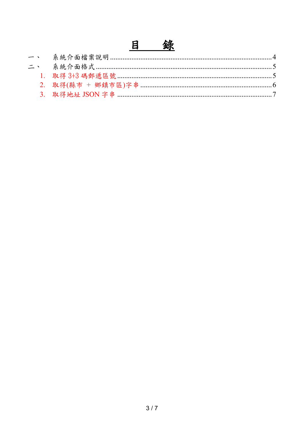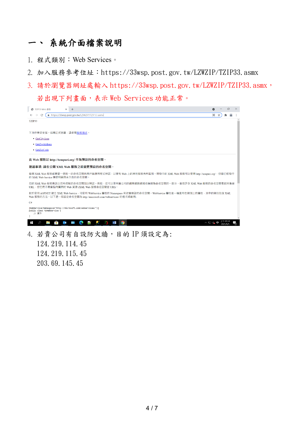#### 一、 系統介面檔案說明

- 1. 程式類別:Web Services。
- 2. 加入服務參考位址:https://33wsp.post.gov.tw/LZWZIP/TZIP33.asmx
- 3. 請於瀏覽器網址處輸入 https://33wsp.post.gov.tw/LZWZIP/TZIP33.asmx, 若出現下列畫面,表示 Web Services 功能正常。



124.219.115.45 203.69.145.45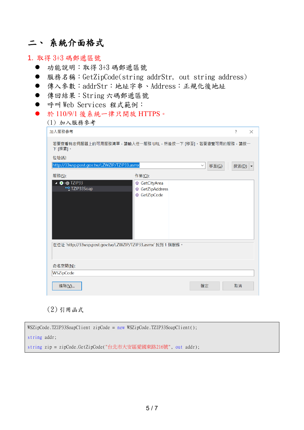### 二、 系統介面格式

- 1. 取得 3+3 碼郵遞區號
	- 功能說明:取得 3+3 碼郵遞區號
	- 服務名稱:GetZipCode(string addrStr, out string address)
	- 傳入參數:addrStr:地址字串、Address:正規化後地址
	- 傳回結果: String 六碼郵遞區號
	- 呼叫 Web Services 程式範例:
	- 於 110/9/1 後系統一律只開放 HTTPS。

|  | (1) 加入服務參考 |
|--|------------|
|--|------------|

| 加入服務參考                                                           |                                            |                                | 7             | $\times$ |
|------------------------------------------------------------------|--------------------------------------------|--------------------------------|---------------|----------|
| 若要查看特定伺服器上的可用服務清單,請輸入任一服務 URL,然後按一下 [移至]。若要瀏覽可用的服務,請按一<br>下[探索]。 |                                            |                                |               |          |
| 位址(A):                                                           |                                            |                                |               |          |
| http://33wsp.post.gov.tw/LZWZIP/TZIP33.asmx                      |                                            | $\checkmark$<br>移至( <u>G</u> ) | 探索( <u>D)</u> |          |
| 服務(S):                                                           | 作業(Q):                                     |                                |               |          |
| ▲ ● <b>■ TZIP33</b><br>** TZIP33Soap                             | GetCityArea<br>GetZipAddress<br>GetZipCode |                                |               |          |
| 在位址 'http://33wsp.post.gov.tw/LZWZIP/TZIP33.asmx' 找到 1 個服務。      |                                            |                                |               |          |
| 命名空間(N):                                                         |                                            |                                |               |          |
| WSZipCode                                                        |                                            |                                |               |          |
| 進階(V)                                                            |                                            | 確定                             | 取消            |          |

(2) 引用函式

| WSZipCode.TZIP33SoapClient zipCode = new WSZipCode.TZIP33SoapClient(); |
|------------------------------------------------------------------------|
| string addr;                                                           |
| string zip = zipCode.GetZipCode("台北市大安區愛國東路216號", out addr);           |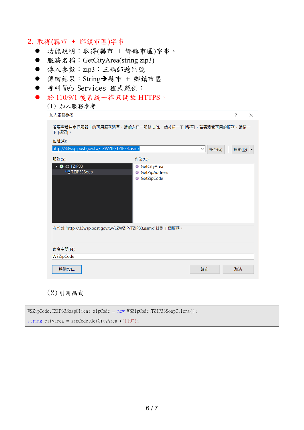#### 2. 取得(縣市 + 鄉鎮市區)字串

- 功能說明:取得(縣市 + 鄉鎮市區)字串。
- 服務名稱: GetCityArea(string zip3)
- 傳入參數: zip3:三碼郵遞區號
- 傳回結果: String→縣市 + 鄉鎮市區
- 呼叫 Web Services 程式範例:
- 於 110/9/1 後系統一律只開放 HTTPS。 (1) 加入服務參考

| 加入服務參考                                                 |                                                             | 2<br>$\times$ |
|--------------------------------------------------------|-------------------------------------------------------------|---------------|
| 下 [探索]。                                                | 若要查看特定伺服器上的可用服務清單,請輸入任一服務 URL,然後按一下 [移至]。若要瀏覽可用的服務,請按一      |               |
| 位址(A):                                                 |                                                             |               |
| http://33wsp.post.gov.tw/LZWZIP/TZIP33.asmx            | 移至(G)<br>$\checkmark$                                       | 探索(D)         |
| 服務(S):                                                 | 作業(Q):                                                      |               |
| ▲ ● <sub>3</sub> ● TZIP33<br>* <sup>9</sup> TZIP33Soap | GetCityArea<br>GetZipAddress<br>GetZipCode                  |               |
| 命名空間(N):<br>WSZipCode                                  | 在位址 'http://33wsp.post.gov.tw/LZWZIP/TZIP33.asmx' 找到 1 個服務。 |               |
| 進階(V)                                                  | 確定                                                          | 取消            |

(2) 引用函式

| $WSZipCode.TZIP33SoapClient$ zipCode = new $WSZipCode.TZIP33SoapClient()$ ; |
|-----------------------------------------------------------------------------|
| string cityarea = zipCode.GetCityArea $('110")$ ;                           |